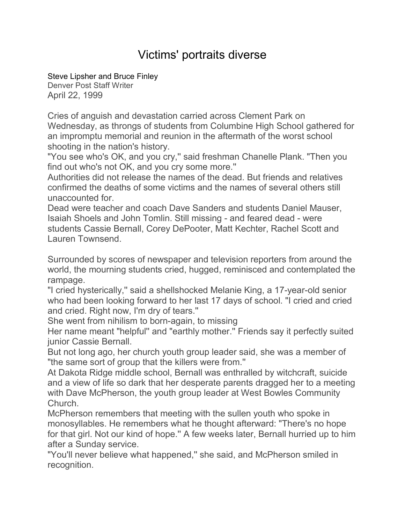## Victims' portraits diverse

[Steve Lipsher and Bruce Finley](mailto:newsroom@denverpost.com)

Denver Post Staff Writer April 22, 1999

Cries of anguish and devastation carried across Clement Park on Wednesday, as throngs of students from Columbine High School gathered for an impromptu memorial and reunion in the aftermath of the worst school shooting in the nation's history.

"You see who's OK, and you cry,'' said freshman Chanelle Plank. "Then you find out who's not OK, and you cry some more.''

Authorities did not release the names of the dead. But friends and relatives confirmed the deaths of some victims and the names of several others still unaccounted for.

Dead were teacher and coach Dave Sanders and students Daniel Mauser, Isaiah Shoels and John Tomlin. Still missing - and feared dead - were students Cassie Bernall, Corey DePooter, Matt Kechter, Rachel Scott and Lauren Townsend.

Surrounded by scores of newspaper and television reporters from around the world, the mourning students cried, hugged, reminisced and contemplated the rampage.

"I cried hysterically,'' said a shellshocked Melanie King, a 17-year-old senior who had been looking forward to her last 17 days of school. "I cried and cried and cried. Right now, I'm dry of tears.''

She went from nihilism to born-again, to missing

Her name meant "helpful'' and "earthly mother.'' Friends say it perfectly suited junior Cassie Bernall.

But not long ago, her church youth group leader said, she was a member of "the same sort of group that the killers were from.''

At Dakota Ridge middle school, Bernall was enthralled by witchcraft, suicide and a view of life so dark that her desperate parents dragged her to a meeting with Dave McPherson, the youth group leader at West Bowles Community Church.

McPherson remembers that meeting with the sullen youth who spoke in monosyllables. He remembers what he thought afterward: "There's no hope for that girl. Not our kind of hope.'' A few weeks later, Bernall hurried up to him after a Sunday service.

"You'll never believe what happened,'' she said, and McPherson smiled in recognition.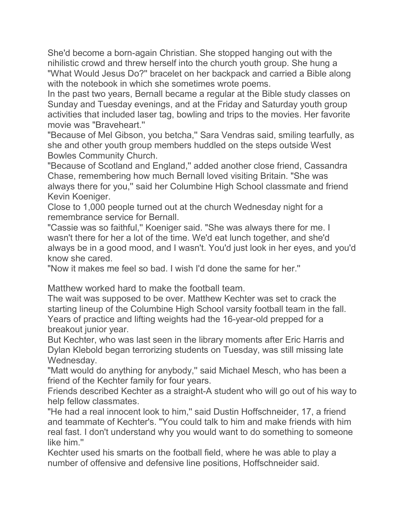She'd become a born-again Christian. She stopped hanging out with the nihilistic crowd and threw herself into the church youth group. She hung a "What Would Jesus Do?'' bracelet on her backpack and carried a Bible along with the notebook in which she sometimes wrote poems.

In the past two years, Bernall became a regular at the Bible study classes on Sunday and Tuesday evenings, and at the Friday and Saturday youth group activities that included laser tag, bowling and trips to the movies. Her favorite movie was "Braveheart.''

"Because of Mel Gibson, you betcha,'' Sara Vendras said, smiling tearfully, as she and other youth group members huddled on the steps outside West Bowles Community Church.

"Because of Scotland and England,'' added another close friend, Cassandra Chase, remembering how much Bernall loved visiting Britain. "She was always there for you,'' said her Columbine High School classmate and friend Kevin Koeniger.

Close to 1,000 people turned out at the church Wednesday night for a remembrance service for Bernall.

"Cassie was so faithful,'' Koeniger said. "She was always there for me. I wasn't there for her a lot of the time. We'd eat lunch together, and she'd always be in a good mood, and I wasn't. You'd just look in her eyes, and you'd know she cared.

"Now it makes me feel so bad. I wish I'd done the same for her.''

Matthew worked hard to make the football team.

The wait was supposed to be over. Matthew Kechter was set to crack the starting lineup of the Columbine High School varsity football team in the fall. Years of practice and lifting weights had the 16-year-old prepped for a breakout junior year.

But Kechter, who was last seen in the library moments after Eric Harris and Dylan Klebold began terrorizing students on Tuesday, was still missing late Wednesday.

"Matt would do anything for anybody,'' said Michael Mesch, who has been a friend of the Kechter family for four years.

Friends described Kechter as a straight-A student who will go out of his way to help fellow classmates.

"He had a real innocent look to him," said Dustin Hoffschneider, 17, a friend and teammate of Kechter's. "You could talk to him and make friends with him real fast. I don't understand why you would want to do something to someone like him."

Kechter used his smarts on the football field, where he was able to play a number of offensive and defensive line positions, Hoffschneider said.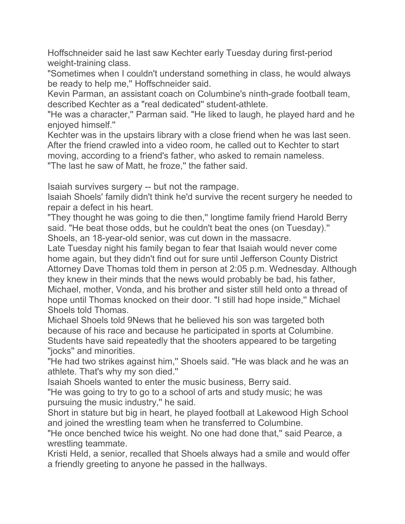Hoffschneider said he last saw Kechter early Tuesday during first-period weight-training class.

"Sometimes when I couldn't understand something in class, he would always be ready to help me,'' Hoffschneider said.

Kevin Parman, an assistant coach on Columbine's ninth-grade football team, described Kechter as a "real dedicated'' student-athlete.

"He was a character,'' Parman said. "He liked to laugh, he played hard and he enjoyed himself.''

Kechter was in the upstairs library with a close friend when he was last seen. After the friend crawled into a video room, he called out to Kechter to start moving, according to a friend's father, who asked to remain nameless.

"The last he saw of Matt, he froze,'' the father said.

Isaiah survives surgery -- but not the rampage.

Isaiah Shoels' family didn't think he'd survive the recent surgery he needed to repair a defect in his heart.

"They thought he was going to die then,'' longtime family friend Harold Berry said. "He beat those odds, but he couldn't beat the ones (on Tuesday).'' Shoels, an 18-year-old senior, was cut down in the massacre.

Late Tuesday night his family began to fear that Isaiah would never come home again, but they didn't find out for sure until Jefferson County District Attorney Dave Thomas told them in person at 2:05 p.m. Wednesday. Although they knew in their minds that the news would probably be bad, his father, Michael, mother, Vonda, and his brother and sister still held onto a thread of hope until Thomas knocked on their door. "I still had hope inside,'' Michael Shoels told Thomas.

Michael Shoels told 9News that he believed his son was targeted both because of his race and because he participated in sports at Columbine. Students have said repeatedly that the shooters appeared to be targeting "jocks'' and minorities.

"He had two strikes against him,'' Shoels said. "He was black and he was an athlete. That's why my son died.''

Isaiah Shoels wanted to enter the music business, Berry said.

"He was going to try to go to a school of arts and study music; he was pursuing the music industry,'' he said.

Short in stature but big in heart, he played football at Lakewood High School and joined the wrestling team when he transferred to Columbine.

"He once benched twice his weight. No one had done that,'' said Pearce, a wrestling teammate.

Kristi Held, a senior, recalled that Shoels always had a smile and would offer a friendly greeting to anyone he passed in the hallways.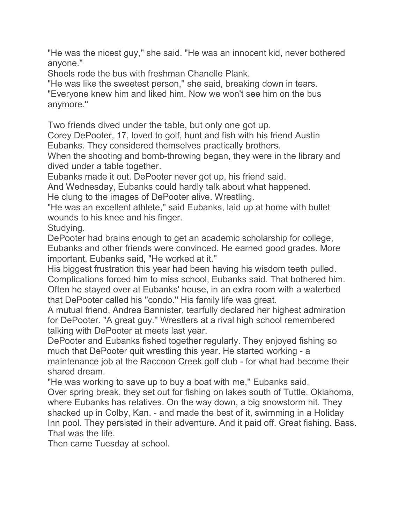"He was the nicest guy,'' she said. "He was an innocent kid, never bothered anyone.''

Shoels rode the bus with freshman Chanelle Plank.

"He was like the sweetest person,'' she said, breaking down in tears.

"Everyone knew him and liked him. Now we won't see him on the bus anymore.''

Two friends dived under the table, but only one got up.

Corey DePooter, 17, loved to golf, hunt and fish with his friend Austin Eubanks. They considered themselves practically brothers.

When the shooting and bomb-throwing began, they were in the library and dived under a table together.

Eubanks made it out. DePooter never got up, his friend said.

And Wednesday, Eubanks could hardly talk about what happened. He clung to the images of DePooter alive. Wrestling.

"He was an excellent athlete,'' said Eubanks, laid up at home with bullet wounds to his knee and his finger.

Studying.

DePooter had brains enough to get an academic scholarship for college, Eubanks and other friends were convinced. He earned good grades. More important, Eubanks said, "He worked at it.''

His biggest frustration this year had been having his wisdom teeth pulled. Complications forced him to miss school, Eubanks said. That bothered him. Often he stayed over at Eubanks' house, in an extra room with a waterbed that DePooter called his "condo.'' His family life was great.

A mutual friend, Andrea Bannister, tearfully declared her highest admiration for DePooter. "A great guy.'' Wrestlers at a rival high school remembered talking with DePooter at meets last year.

DePooter and Eubanks fished together regularly. They enjoyed fishing so much that DePooter quit wrestling this year. He started working - a maintenance job at the Raccoon Creek golf club - for what had become their shared dream.

"He was working to save up to buy a boat with me,'' Eubanks said. Over spring break, they set out for fishing on lakes south of Tuttle, Oklahoma, where Eubanks has relatives. On the way down, a big snowstorm hit. They shacked up in Colby, Kan. - and made the best of it, swimming in a Holiday Inn pool. They persisted in their adventure. And it paid off. Great fishing. Bass. That was the life.

Then came Tuesday at school.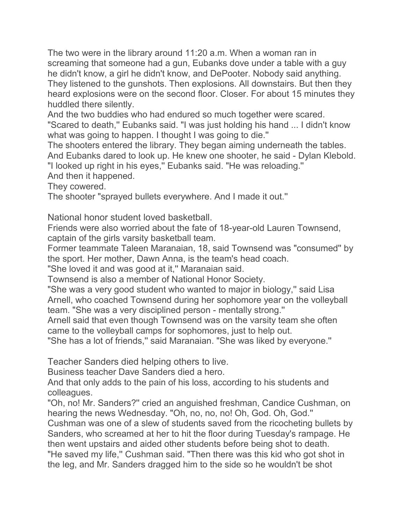The two were in the library around 11:20 a.m. When a woman ran in screaming that someone had a gun, Eubanks dove under a table with a guy he didn't know, a girl he didn't know, and DePooter. Nobody said anything. They listened to the gunshots. Then explosions. All downstairs. But then they heard explosions were on the second floor. Closer. For about 15 minutes they huddled there silently.

And the two buddies who had endured so much together were scared. "Scared to death," Eubanks said. "I was just holding his hand ... I didn't know what was going to happen. I thought I was going to die.''

The shooters entered the library. They began aiming underneath the tables. And Eubanks dared to look up. He knew one shooter, he said - Dylan Klebold. "I looked up right in his eyes,'' Eubanks said. "He was reloading.''

And then it happened.

They cowered.

The shooter "sprayed bullets everywhere. And I made it out.''

National honor student loved basketball.

Friends were also worried about the fate of 18-year-old Lauren Townsend, captain of the girls varsity basketball team.

Former teammate Taleen Maranaian, 18, said Townsend was "consumed'' by the sport. Her mother, Dawn Anna, is the team's head coach.

"She loved it and was good at it,'' Maranaian said.

Townsend is also a member of National Honor Society.

"She was a very good student who wanted to major in biology,'' said Lisa Arnell, who coached Townsend during her sophomore year on the volleyball team. "She was a very disciplined person - mentally strong.''

Arnell said that even though Townsend was on the varsity team she often came to the volleyball camps for sophomores, just to help out.

"She has a lot of friends," said Maranaian. "She was liked by everyone."

Teacher Sanders died helping others to live.

Business teacher Dave Sanders died a hero.

And that only adds to the pain of his loss, according to his students and colleagues.

"Oh, no! Mr. Sanders?'' cried an anguished freshman, Candice Cushman, on hearing the news Wednesday. "Oh, no, no, no! Oh, God. Oh, God.''

Cushman was one of a slew of students saved from the ricocheting bullets by Sanders, who screamed at her to hit the floor during Tuesday's rampage. He then went upstairs and aided other students before being shot to death. "He saved my life,'' Cushman said. "Then there was this kid who got shot in the leg, and Mr. Sanders dragged him to the side so he wouldn't be shot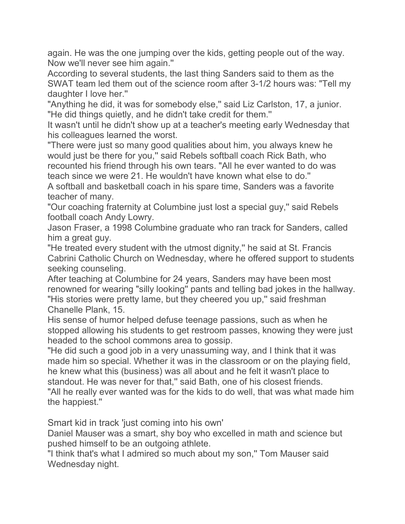again. He was the one jumping over the kids, getting people out of the way. Now we'll never see him again.''

According to several students, the last thing Sanders said to them as the SWAT team led them out of the science room after 3-1/2 hours was: "Tell my daughter I love her.''

"Anything he did, it was for somebody else,'' said Liz Carlston, 17, a junior. "He did things quietly, and he didn't take credit for them.''

It wasn't until he didn't show up at a teacher's meeting early Wednesday that his colleagues learned the worst.

"There were just so many good qualities about him, you always knew he would just be there for you,'' said Rebels softball coach Rick Bath, who recounted his friend through his own tears. "All he ever wanted to do was teach since we were 21. He wouldn't have known what else to do.''

A softball and basketball coach in his spare time, Sanders was a favorite teacher of many.

"Our coaching fraternity at Columbine just lost a special guy,'' said Rebels football coach Andy Lowry.

Jason Fraser, a 1998 Columbine graduate who ran track for Sanders, called him a great guy.

"He treated every student with the utmost dignity,'' he said at St. Francis Cabrini Catholic Church on Wednesday, where he offered support to students seeking counseling.

After teaching at Columbine for 24 years, Sanders may have been most renowned for wearing "silly looking'' pants and telling bad jokes in the hallway. "His stories were pretty lame, but they cheered you up," said freshman Chanelle Plank, 15.

His sense of humor helped defuse teenage passions, such as when he stopped allowing his students to get restroom passes, knowing they were just headed to the school commons area to gossip.

"He did such a good job in a very unassuming way, and I think that it was made him so special. Whether it was in the classroom or on the playing field, he knew what this (business) was all about and he felt it wasn't place to standout. He was never for that,'' said Bath, one of his closest friends. "All he really ever wanted was for the kids to do well, that was what made him the happiest.''

Smart kid in track 'just coming into his own'

Daniel Mauser was a smart, shy boy who excelled in math and science but pushed himself to be an outgoing athlete.

"I think that's what I admired so much about my son,'' Tom Mauser said Wednesday night.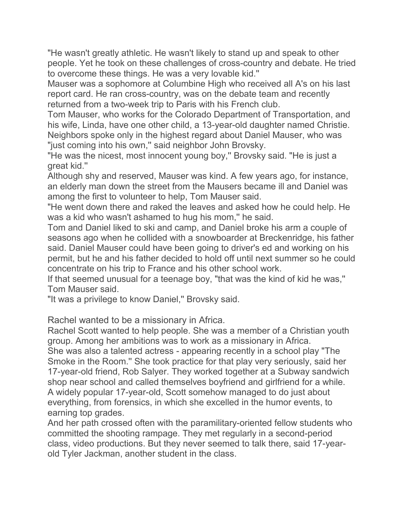"He wasn't greatly athletic. He wasn't likely to stand up and speak to other people. Yet he took on these challenges of cross-country and debate. He tried to overcome these things. He was a very lovable kid.''

Mauser was a sophomore at Columbine High who received all A's on his last report card. He ran cross-country, was on the debate team and recently returned from a two-week trip to Paris with his French club.

Tom Mauser, who works for the Colorado Department of Transportation, and his wife, Linda, have one other child, a 13-year-old daughter named Christie. Neighbors spoke only in the highest regard about Daniel Mauser, who was "just coming into his own," said neighbor John Brovsky.

"He was the nicest, most innocent young boy," Brovsky said. "He is just a great kid.''

Although shy and reserved, Mauser was kind. A few years ago, for instance, an elderly man down the street from the Mausers became ill and Daniel was among the first to volunteer to help, Tom Mauser said.

"He went down there and raked the leaves and asked how he could help. He was a kid who wasn't ashamed to hug his mom,'' he said.

Tom and Daniel liked to ski and camp, and Daniel broke his arm a couple of seasons ago when he collided with a snowboarder at Breckenridge, his father said. Daniel Mauser could have been going to driver's ed and working on his permit, but he and his father decided to hold off until next summer so he could concentrate on his trip to France and his other school work.

If that seemed unusual for a teenage boy, "that was the kind of kid he was,'' Tom Mauser said.

"It was a privilege to know Daniel,'' Brovsky said.

Rachel wanted to be a missionary in Africa.

Rachel Scott wanted to help people. She was a member of a Christian youth group. Among her ambitions was to work as a missionary in Africa.

She was also a talented actress - appearing recently in a school play "The Smoke in the Room.'' She took practice for that play very seriously, said her 17-year-old friend, Rob Salyer. They worked together at a Subway sandwich shop near school and called themselves boyfriend and girlfriend for a while. A widely popular 17-year-old, Scott somehow managed to do just about everything, from forensics, in which she excelled in the humor events, to earning top grades.

And her path crossed often with the paramilitary-oriented fellow students who committed the shooting rampage. They met regularly in a second-period class, video productions. But they never seemed to talk there, said 17-yearold Tyler Jackman, another student in the class.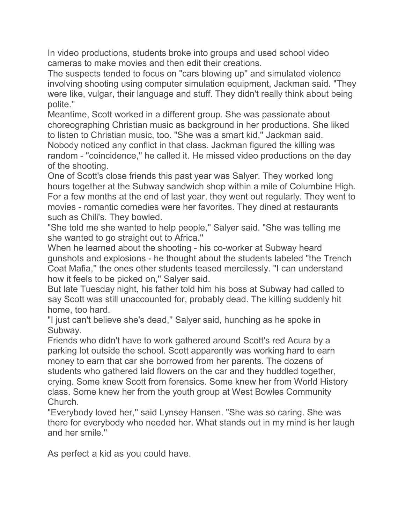In video productions, students broke into groups and used school video cameras to make movies and then edit their creations.

The suspects tended to focus on "cars blowing up'' and simulated violence involving shooting using computer simulation equipment, Jackman said. "They were like, vulgar, their language and stuff. They didn't really think about being polite.''

Meantime, Scott worked in a different group. She was passionate about choreographing Christian music as background in her productions. She liked to listen to Christian music, too. "She was a smart kid,'' Jackman said. Nobody noticed any conflict in that class. Jackman figured the killing was random - "coincidence,'' he called it. He missed video productions on the day of the shooting.

One of Scott's close friends this past year was Salyer. They worked long hours together at the Subway sandwich shop within a mile of Columbine High. For a few months at the end of last year, they went out regularly. They went to movies - romantic comedies were her favorites. They dined at restaurants such as Chili's. They bowled.

"She told me she wanted to help people,'' Salyer said. "She was telling me she wanted to go straight out to Africa.''

When he learned about the shooting - his co-worker at Subway heard gunshots and explosions - he thought about the students labeled "the Trench Coat Mafia,'' the ones other students teased mercilessly. "I can understand how it feels to be picked on," Salyer said.

But late Tuesday night, his father told him his boss at Subway had called to say Scott was still unaccounted for, probably dead. The killing suddenly hit home, too hard.

"I just can't believe she's dead,'' Salyer said, hunching as he spoke in Subway.

Friends who didn't have to work gathered around Scott's red Acura by a parking lot outside the school. Scott apparently was working hard to earn money to earn that car she borrowed from her parents. The dozens of students who gathered laid flowers on the car and they huddled together, crying. Some knew Scott from forensics. Some knew her from World History class. Some knew her from the youth group at West Bowles Community Church.

"Everybody loved her," said Lynsey Hansen. "She was so caring. She was there for everybody who needed her. What stands out in my mind is her laugh and her smile.''

As perfect a kid as you could have.